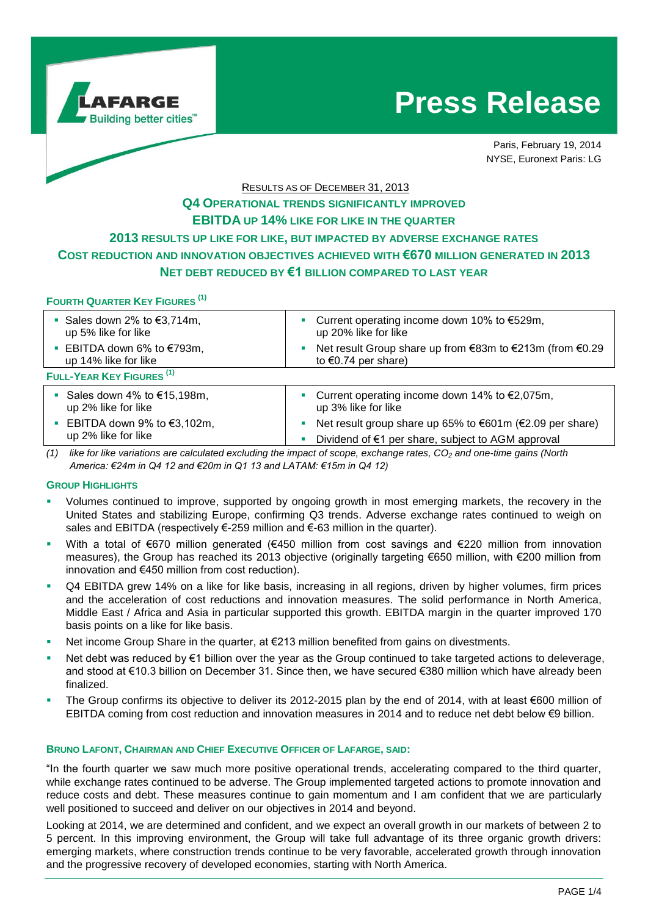

# **Press Release**

Paris, February 19, 2014 NYSE, Euronext Paris: LG

# RESULTS AS OF DECEMBER 31, 2013 **Q4 OPERATIONAL TRENDS SIGNIFICANTLY IMPROVED EBITDA UP 14% LIKE FOR LIKE IN THE QUARTER 2013 RESULTS UP LIKE FOR LIKE, BUT IMPACTED BY ADVERSE EXCHANGE RATES COST REDUCTION AND INNOVATION OBJECTIVES ACHIEVED WITH €670 MILLION GENERATED IN 2013 NET DEBT REDUCED BY €1 BILLION COMPARED TO LAST YEAR**

## **FOURTH QUARTER KEY FIGURES (1)**

| ■ Sales down 2% to $€3,714m$ ,<br>up 5% like for like     | ■ Current operating income down 10% to €529m,<br>up 20% like for like                     |
|-----------------------------------------------------------|-------------------------------------------------------------------------------------------|
| ■ EBITDA down 6% to $€793m$ ,<br>up 14% like for like     | Net result Group share up from €83m to €213m (from €0.29<br>to $\epsilon$ 0.74 per share) |
| FULL-YEAR KEY FIGURES <sup>(1)</sup>                      |                                                                                           |
| Sales down 4% to $€15,198m$ ,<br>up 2% like for like      | ■ Current operating income down 14% to $€2,075m$ ,<br>up 3% like for like                 |
| EBITDA down 9% to $€3,102m$ ,<br>×<br>up 2% like for like | Net result group share up 65% to €601m (€2.09 per share)                                  |
|                                                           | Dividend of €1 per share, subject to AGM approval                                         |
|                                                           |                                                                                           |

*(1) like for like variations are calculated excluding the impact of scope, exchange rates, CO<sup>2</sup> and one-time gains (North America: €24m in Q4 12 and €20m in Q1 13 and LATAM: €15m in Q4 12)*

#### **GROUP HIGHLIGHTS**

- Volumes continued to improve, supported by ongoing growth in most emerging markets, the recovery in the United States and stabilizing Europe, confirming Q3 trends. Adverse exchange rates continued to weigh on sales and EBITDA (respectively €-259 million and €-63 million in the quarter).
- With a total of €670 million generated (€450 million from cost savings and €220 million from innovation measures), the Group has reached its 2013 objective (originally targeting €650 million, with €200 million from innovation and €450 million from cost reduction).
- Q4 EBITDA grew 14% on a like for like basis, increasing in all regions, driven by higher volumes, firm prices and the acceleration of cost reductions and innovation measures. The solid performance in North America, Middle East / Africa and Asia in particular supported this growth. EBITDA margin in the quarter improved 170 basis points on a like for like basis.
- Net income Group Share in the quarter, at €213 million benefited from gains on divestments.
- Net debt was reduced by €1 billion over the year as the Group continued to take targeted actions to deleverage, and stood at €10.3 billion on December 31. Since then, we have secured €380 million which have already been finalized.
- The Group confirms its objective to deliver its 2012-2015 plan by the end of 2014, with at least €600 million of EBITDA coming from cost reduction and innovation measures in 2014 and to reduce net debt below €9 billion.

#### **BRUNO LAFONT, CHAIRMAN AND CHIEF EXECUTIVE OFFICER OF LAFARGE, SAID:**

"In the fourth quarter we saw much more positive operational trends, accelerating compared to the third quarter, while exchange rates continued to be adverse. The Group implemented targeted actions to promote innovation and reduce costs and debt. These measures continue to gain momentum and I am confident that we are particularly well positioned to succeed and deliver on our objectives in 2014 and beyond.

Looking at 2014, we are determined and confident, and we expect an overall growth in our markets of between 2 to 5 percent. In this improving environment, the Group will take full advantage of its three organic growth drivers: emerging markets, where construction trends continue to be very favorable, accelerated growth through innovation and the progressive recovery of developed economies, starting with North America.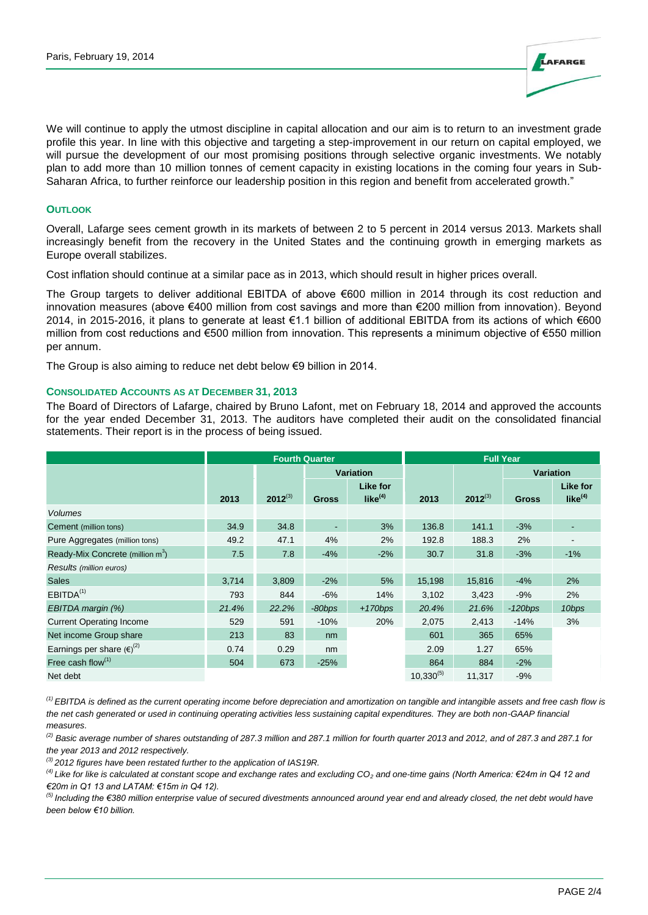

We will continue to apply the utmost discipline in capital allocation and our aim is to return to an investment grade profile this year. In line with this objective and targeting a step-improvement in our return on capital employed, we will pursue the development of our most promising positions through selective organic investments. We notably plan to add more than 10 million tonnes of cement capacity in existing locations in the coming four years in Sub-Saharan Africa, to further reinforce our leadership position in this region and benefit from accelerated growth."

## **OUTLOOK**

Overall, Lafarge sees cement growth in its markets of between 2 to 5 percent in 2014 versus 2013. Markets shall increasingly benefit from the recovery in the United States and the continuing growth in emerging markets as Europe overall stabilizes.

Cost inflation should continue at a similar pace as in 2013, which should result in higher prices overall.

The Group targets to deliver additional EBITDA of above €600 million in 2014 through its cost reduction and innovation measures (above €400 million from cost savings and more than €200 million from innovation). Beyond 2014, in 2015-2016, it plans to generate at least €1.1 billion of additional EBITDA from its actions of which €600 million from cost reductions and €500 million from innovation. This represents a minimum objective of €550 million per annum.

The Group is also aiming to reduce net debt below €9 billion in 2014.

#### **CONSOLIDATED ACCOUNTS AS AT DECEMBER 31, 2013**

The Board of Directors of Lafarge, chaired by Bruno Lafont, met on February 18, 2014 and approved the accounts for the year ended December 31, 2013. The auditors have completed their audit on the consolidated financial statements. Their report is in the process of being issued.

|                                              | <b>Fourth Quarter</b> |              |              |                        | <b>Full Year</b> |              |              |                                        |
|----------------------------------------------|-----------------------|--------------|--------------|------------------------|------------------|--------------|--------------|----------------------------------------|
|                                              |                       |              | Variation    |                        |                  |              | Variation    |                                        |
|                                              | 2013                  | $2012^{(3)}$ | <b>Gross</b> | Like for<br>like $(4)$ | 2013             | $2012^{(3)}$ | <b>Gross</b> | <b>Like for</b><br>like <sup>(4)</sup> |
| <b>Volumes</b>                               |                       |              |              |                        |                  |              |              |                                        |
| Cement (million tons)                        | 34.9                  | 34.8         |              | 3%                     | 136.8            | 141.1        | $-3%$        |                                        |
| Pure Aggregates (million tons)               | 49.2                  | 47.1         | 4%           | 2%                     | 192.8            | 188.3        | 2%           |                                        |
| Ready-Mix Concrete (million m <sup>3</sup> ) | 7.5                   | 7.8          | $-4%$        | $-2%$                  | 30.7             | 31.8         | $-3%$        | $-1%$                                  |
| Results (million euros)                      |                       |              |              |                        |                  |              |              |                                        |
| <b>Sales</b>                                 | 3,714                 | 3,809        | $-2%$        | 5%                     | 15,198           | 15,816       | $-4%$        | 2%                                     |
| EBITDA <sup>(1)</sup>                        | 793                   | 844          | $-6%$        | 14%                    | 3,102            | 3,423        | $-9%$        | 2%                                     |
| EBITDA margin (%)                            | 21.4%                 | 22.2%        | $-80$ bps    | $+170bps$              | 20.4%            | 21.6%        | $-120bps$    | 10bps                                  |
| <b>Current Operating Income</b>              | 529                   | 591          | $-10%$       | 20%                    | 2,075            | 2,413        | $-14%$       | 3%                                     |
| Net income Group share                       | 213                   | 83           | nm           |                        | 601              | 365          | 65%          |                                        |
| Earnings per share $(e)^{(2)}$               | 0.74                  | 0.29         | nm           |                        | 2.09             | 1.27         | 65%          |                                        |
| Free cash flow $(1)$                         | 504                   | 673          | $-25%$       |                        | 864              | 884          | $-2%$        |                                        |
| Net debt                                     |                       |              |              |                        | $10,330^{(5)}$   | 11.317       | $-9%$        |                                        |

*(1) EBITDA is defined as the current operating income before depreciation and amortization on tangible and intangible assets and free cash flow is the net cash generated or used in continuing operating activities less sustaining capital expenditures. They are both non-GAAP financial measures.*

*(2) Basic average number of shares outstanding of 287.3 million and 287.1 million for fourth quarter 2013 and 2012, and of 287.3 and 287.1 for the year 2013 and 2012 respectively.*

*(3) 2012 figures have been restated further to the application of IAS19R.*

*(4) Like for like is calculated at constant scope and exchange rates and excluding CO<sup>2</sup> and one-time gains (North America: €24m in Q4 12 and €20m in Q1 13 and LATAM: €15m in Q4 12).*

*(5) Including the €380 million enterprise value of secured divestments announced around year end and already closed, the net debt would have been below €10 billion.*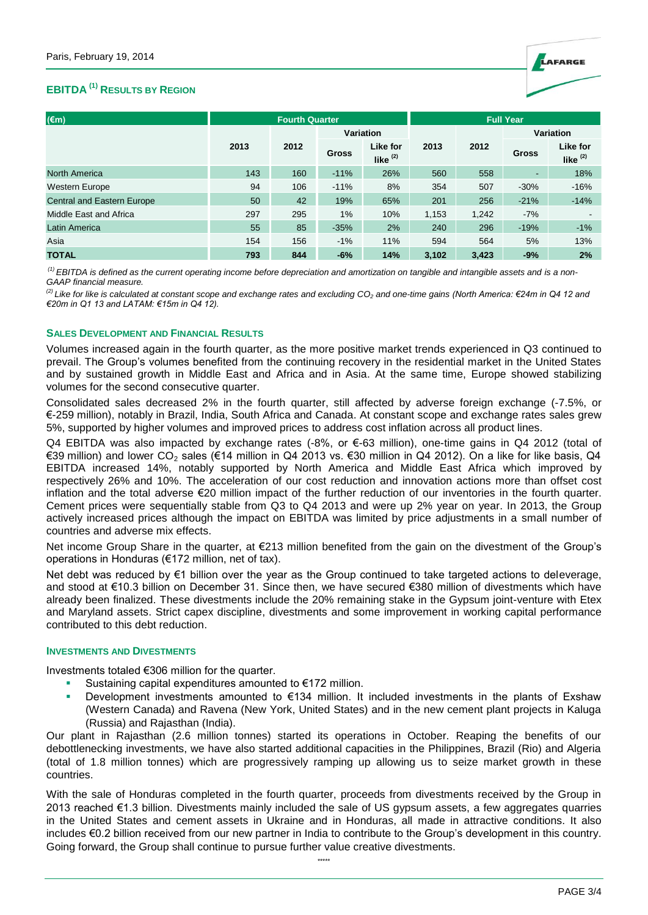

# **EBITDA (1) RESULTS BY REGION**

| $(\epsilon m)$                    | <b>Fourth Quarter</b> |                  |              |                        | <b>Full Year</b> |           |        |                        |
|-----------------------------------|-----------------------|------------------|--------------|------------------------|------------------|-----------|--------|------------------------|
|                                   |                       | <b>Variation</b> |              |                        |                  | Variation |        |                        |
|                                   | 2013                  | 2012             | <b>Gross</b> | Like for<br>like $(2)$ | 2013             | 2012      | Gross  | Like for<br>like $(2)$ |
| <b>North America</b>              | 143                   | 160              | $-11%$       | 26%                    | 560              | 558       | ۰      | 18%                    |
| <b>Western Europe</b>             | 94                    | 106              | $-11%$       | 8%                     | 354              | 507       | $-30%$ | $-16%$                 |
| <b>Central and Eastern Europe</b> | 50                    | 42               | 19%          | 65%                    | 201              | 256       | $-21%$ | $-14%$                 |
| Middle East and Africa            | 297                   | 295              | $1\%$        | 10%                    | 1,153            | 1,242     | $-7%$  | $\blacksquare$         |
| <b>Latin America</b>              | 55                    | 85               | $-35%$       | 2%                     | 240              | 296       | $-19%$ | $-1%$                  |
| Asia                              | 154                   | 156              | $-1%$        | 11%                    | 594              | 564       | 5%     | 13%                    |
| <b>TOTAL</b>                      | 793                   | 844              | $-6%$        | 14%                    | 3.102            | 3.423     | $-9%$  | 2%                     |

*(1) EBITDA is defined as the current operating income before depreciation and amortization on tangible and intangible assets and is a non-GAAP financial measure.*

*(2) Like for like is calculated at constant scope and exchange rates and excluding CO<sup>2</sup> and one-time gains (North America: €24m in Q4 12 and €20m in Q1 13 and LATAM: €15m in Q4 12).*

#### **SALES DEVELOPMENT AND FINANCIAL RESULTS**

Volumes increased again in the fourth quarter, as the more positive market trends experienced in Q3 continued to prevail. The Group's volumes benefited from the continuing recovery in the residential market in the United States and by sustained growth in Middle East and Africa and in Asia. At the same time, Europe showed stabilizing volumes for the second consecutive quarter.

Consolidated sales decreased 2% in the fourth quarter, still affected by adverse foreign exchange (-7.5%, or €-259 million), notably in Brazil, India, South Africa and Canada. At constant scope and exchange rates sales grew 5%, supported by higher volumes and improved prices to address cost inflation across all product lines.

Q4 EBITDA was also impacted by exchange rates (-8%, or €-63 million), one-time gains in Q4 2012 (total of €39 million) and lower CO<sup>2</sup> sales (€14 million in Q4 2013 vs. €30 million in Q4 2012). On a like for like basis, Q4 EBITDA increased 14%, notably supported by North America and Middle East Africa which improved by respectively 26% and 10%. The acceleration of our cost reduction and innovation actions more than offset cost inflation and the total adverse €20 million impact of the further reduction of our inventories in the fourth quarter. Cement prices were sequentially stable from Q3 to Q4 2013 and were up 2% year on year. In 2013, the Group actively increased prices although the impact on EBITDA was limited by price adjustments in a small number of countries and adverse mix effects.

Net income Group Share in the quarter, at €213 million benefited from the gain on the divestment of the Group's operations in Honduras (€172 million, net of tax).

Net debt was reduced by €1 billion over the year as the Group continued to take targeted actions to deleverage, and stood at €10.3 billion on December 31. Since then, we have secured €380 million of divestments which have already been finalized. These divestments include the 20% remaining stake in the Gypsum joint-venture with Etex and Maryland assets. Strict capex discipline, divestments and some improvement in working capital performance contributed to this debt reduction.

#### **INVESTMENTS AND DIVESTMENTS**

Investments totaled €306 million for the quarter.

- Sustaining capital expenditures amounted to €172 million.
- Development investments amounted to €134 million. It included investments in the plants of Exshaw (Western Canada) and Ravena (New York, United States) and in the new cement plant projects in Kaluga (Russia) and Rajasthan (India).

Our plant in Rajasthan (2.6 million tonnes) started its operations in October. Reaping the benefits of our debottlenecking investments, we have also started additional capacities in the Philippines, Brazil (Rio) and Algeria (total of 1.8 million tonnes) which are progressively ramping up allowing us to seize market growth in these countries.

With the sale of Honduras completed in the fourth quarter, proceeds from divestments received by the Group in 2013 reached €1.3 billion. Divestments mainly included the sale of US gypsum assets, a few aggregates quarries in the United States and cement assets in Ukraine and in Honduras, all made in attractive conditions. It also includes €0.2 billion received from our new partner in India to contribute to the Group's development in this country. Going forward, the Group shall continue to pursue further value creative divestments.